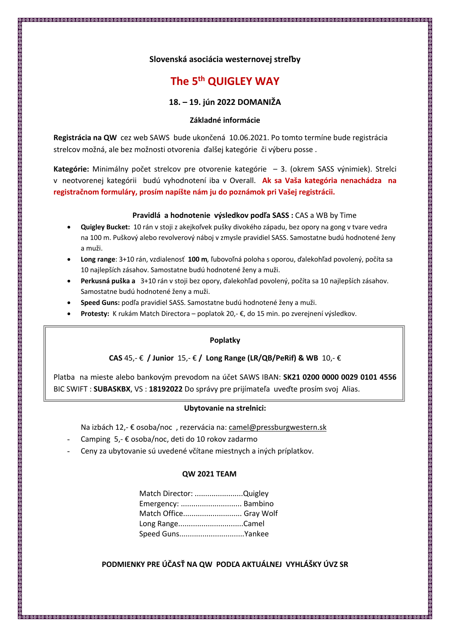## **Slovenská asociácia westernovej streľby**

# **The 5th QUIGLEY WAY**

## **18. – 19. jún 2022 DOMANIŽA**

#### **Základné informácie**

**Registrácia na QW** cez web SAWS bude ukončená 10.06.2021. Po tomto termíne bude registrácia strelcov možná, ale bez možnosti otvorenia ďalšej kategórie či výberu posse .

**Kategórie:** Minimálny počet strelcov pre otvorenie kategórie – 3. (okrem SASS výnimiek). Strelci v neotvorenej kategórii budú vyhodnotení iba v Overall. **Ak sa Vaša kategória nenachádza na registračnom formuláry, prosím napíšte nám ju do poznámok pri Vašej registrácii.**

#### **Pravidlá a hodnotenie výsledkov podľa SASS :** CAS a WB by Time

- **Quigley Bucket:** 10 rán v stoji z akejkoľvek pušky divokého západu, bez opory na gong v tvare vedra na 100 m. Puškový alebo revolverový náboj v zmysle pravidiel SASS. Samostatne budú hodnotené ženy a muži.
- **Long range**: 3+10 rán, vzdialenosť **100 m***,* ľubovoľná poloha s oporou, ďalekohľad povolený, počíta sa 10 najlepších zásahov. Samostatne budú hodnotené ženy a muži.
- **Perkusná puška a** 3+10 rán v stoji bez opory, ďalekohľad povolený, počíta sa 10 najlepších zásahov. Samostatne budú hodnotené ženy a muži.
- **Speed Guns:** podľa pravidiel SASS. Samostatne budú hodnotené ženy a muži.
- **Protesty:** K rukám Match Directora poplatok 20,- €, do 15 min. po zverejnení výsledkov.

### **Poplatky**

## **CAS** 45,- € **/ Junior** 15,- € **/ Long Range (LR/QB/PeRif) & WB** 10,- €

Platba na mieste alebo bankovým prevodom na účet SAWS IBAN: **SK21 0200 0000 0029 0101 4556** BIC SWIFT : **SUBASKBX**, VS : **18192022** Do správy pre prijímateľa uveďte prosím svoj Alias.

#### **Ubytovanie na strelnici:**

Na izbách 12,- € osoba/noc , rezervácia na: camel@pressburgwestern.sk

- Camping 5,- € osoba/noc, deti do 10 rokov zadarmo
- Ceny za ubytovanie sú uvedené včítane miestnych a iných príplatkov.

#### **QW 2021 TEAM**

| Match Director: Quigley |
|-------------------------|
| Emergency:  Bambino     |
| Match Office Gray Wolf  |
| Long RangeCamel         |
| Speed GunsYankee        |
|                         |

# **PODMIENKY PRE ÚČASŤ NA QW PODĽA AKTUÁLNEJ VYHLÁŠKY ÚVZ SR**